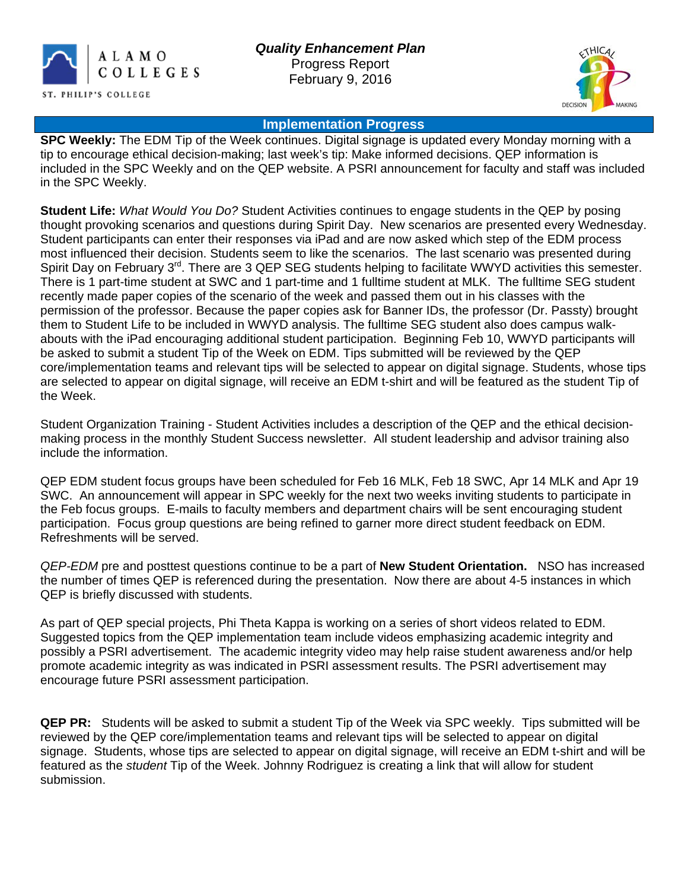



### **Implementation Progress**

**SPC Weekly:** The EDM Tip of the Week continues. Digital signage is updated every Monday morning with a tip to encourage ethical decision-making; last week's tip: Make informed decisions. QEP information is included in the SPC Weekly and on the QEP website. A PSRI announcement for faculty and staff was included in the SPC Weekly.

**Student Life:** *What Would You Do?* Student Activities continues to engage students in the QEP by posing thought provoking scenarios and questions during Spirit Day. New scenarios are presented every Wednesday. Student participants can enter their responses via iPad and are now asked which step of the EDM process most influenced their decision. Students seem to like the scenarios. The last scenario was presented during Spirit Day on February 3<sup>rd</sup>. There are 3 QEP SEG students helping to facilitate WWYD activities this semester. There is 1 part-time student at SWC and 1 part-time and 1 fulltime student at MLK. The fulltime SEG student recently made paper copies of the scenario of the week and passed them out in his classes with the permission of the professor. Because the paper copies ask for Banner IDs, the professor (Dr. Passty) brought them to Student Life to be included in WWYD analysis. The fulltime SEG student also does campus walkabouts with the iPad encouraging additional student participation. Beginning Feb 10, WWYD participants will be asked to submit a student Tip of the Week on EDM. Tips submitted will be reviewed by the QEP core/implementation teams and relevant tips will be selected to appear on digital signage. Students, whose tips are selected to appear on digital signage, will receive an EDM t-shirt and will be featured as the student Tip of the Week.

Student Organization Training - Student Activities includes a description of the QEP and the ethical decisionmaking process in the monthly Student Success newsletter. All student leadership and advisor training also include the information.

QEP EDM student focus groups have been scheduled for Feb 16 MLK, Feb 18 SWC, Apr 14 MLK and Apr 19 SWC. An announcement will appear in SPC weekly for the next two weeks inviting students to participate in the Feb focus groups. E-mails to faculty members and department chairs will be sent encouraging student participation. Focus group questions are being refined to garner more direct student feedback on EDM. Refreshments will be served.

*QEP-EDM* pre and posttest questions continue to be a part of **New Student Orientation.** NSO has increased the number of times QEP is referenced during the presentation. Now there are about 4-5 instances in which QEP is briefly discussed with students.

As part of QEP special projects, Phi Theta Kappa is working on a series of short videos related to EDM. Suggested topics from the QEP implementation team include videos emphasizing academic integrity and possibly a PSRI advertisement. The academic integrity video may help raise student awareness and/or help promote academic integrity as was indicated in PSRI assessment results. The PSRI advertisement may encourage future PSRI assessment participation.

**QEP PR:** Students will be asked to submit a student Tip of the Week via SPC weekly. Tips submitted will be reviewed by the QEP core/implementation teams and relevant tips will be selected to appear on digital signage. Students, whose tips are selected to appear on digital signage, will receive an EDM t-shirt and will be featured as the *student* Tip of the Week. Johnny Rodriguez is creating a link that will allow for student submission.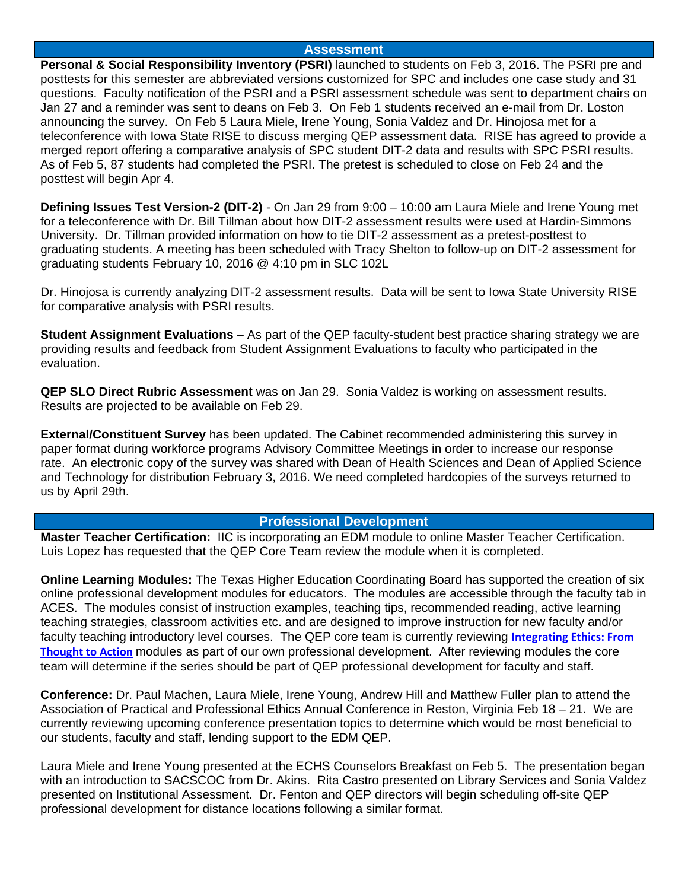#### **Assessment**

**Personal & Social Responsibility Inventory (PSRI)** launched to students on Feb 3, 2016. The PSRI pre and posttests for this semester are abbreviated versions customized for SPC and includes one case study and 31 questions. Faculty notification of the PSRI and a PSRI assessment schedule was sent to department chairs on Jan 27 and a reminder was sent to deans on Feb 3. On Feb 1 students received an e-mail from Dr. Loston announcing the survey. On Feb 5 Laura Miele, Irene Young, Sonia Valdez and Dr. Hinojosa met for a teleconference with Iowa State RISE to discuss merging QEP assessment data. RISE has agreed to provide a merged report offering a comparative analysis of SPC student DIT-2 data and results with SPC PSRI results. As of Feb 5, 87 students had completed the PSRI. The pretest is scheduled to close on Feb 24 and the posttest will begin Apr 4.

**Defining Issues Test Version-2 (DIT-2)** - On Jan 29 from 9:00 – 10:00 am Laura Miele and Irene Young met for a teleconference with Dr. Bill Tillman about how DIT-2 assessment results were used at Hardin-Simmons University. Dr. Tillman provided information on how to tie DIT-2 assessment as a pretest-posttest to graduating students. A meeting has been scheduled with Tracy Shelton to follow-up on DIT-2 assessment for graduating students February 10, 2016 @ 4:10 pm in SLC 102L

Dr. Hinojosa is currently analyzing DIT-2 assessment results. Data will be sent to Iowa State University RISE for comparative analysis with PSRI results.

**Student Assignment Evaluations** – As part of the QEP faculty-student best practice sharing strategy we are providing results and feedback from Student Assignment Evaluations to faculty who participated in the evaluation.

**QEP SLO Direct Rubric Assessment** was on Jan 29. Sonia Valdez is working on assessment results. Results are projected to be available on Feb 29.

**External/Constituent Survey** has been updated. The Cabinet recommended administering this survey in paper format during workforce programs Advisory Committee Meetings in order to increase our response rate. An electronic copy of the survey was shared with Dean of Health Sciences and Dean of Applied Science and Technology for distribution February 3, 2016. We need completed hardcopies of the surveys returned to us by April 29th.

### **Professional Development**

**Master Teacher Certification:** IIC is incorporating an EDM module to online Master Teacher Certification. Luis Lopez has requested that the QEP Core Team review the module when it is completed.

**Online Learning Modules:** The Texas Higher Education Coordinating Board has supported the creation of six online professional development modules for educators. The modules are accessible through the faculty tab in ACES. The modules consist of instruction examples, teaching tips, recommended reading, active learning teaching strategies, classroom activities etc. and are designed to improve instruction for new faculty and/or faculty teaching introductory level courses. The QEP core team is currently reviewing **[Integrating Ethics: From](http://ethics.utep.edu/)  [Thought to Action](http://ethics.utep.edu/)** modules as part of our own professional development. After reviewing modules the core team will determine if the series should be part of QEP professional development for faculty and staff.

**Conference:** Dr. Paul Machen, Laura Miele, Irene Young, Andrew Hill and Matthew Fuller plan to attend the Association of Practical and Professional Ethics Annual Conference in Reston, Virginia Feb 18 – 21. We are currently reviewing upcoming conference presentation topics to determine which would be most beneficial to our students, faculty and staff, lending support to the EDM QEP.

Laura Miele and Irene Young presented at the ECHS Counselors Breakfast on Feb 5. The presentation began with an introduction to SACSCOC from Dr. Akins. Rita Castro presented on Library Services and Sonia Valdez presented on Institutional Assessment. Dr. Fenton and QEP directors will begin scheduling off-site QEP professional development for distance locations following a similar format.